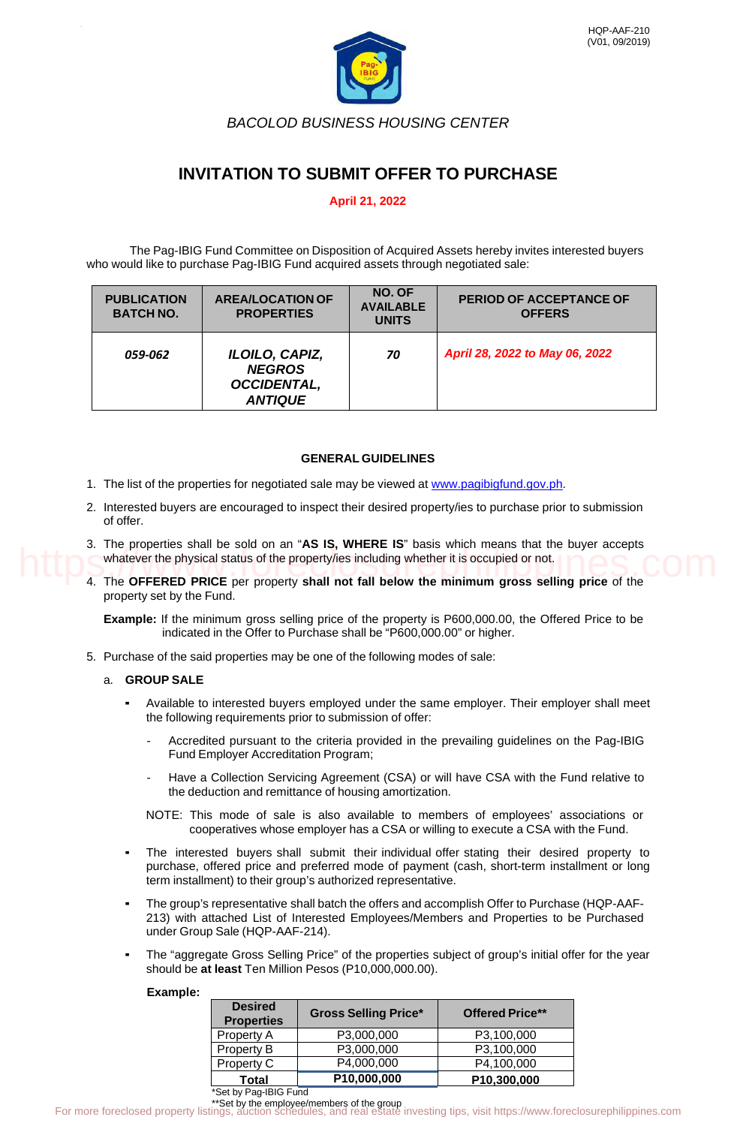

*BACOLOD BUSINESS HOUSING CENTER*

# **INVITATION TO SUBMIT OFFER TO PURCHASE**

# **April 21, 2022**

The Pag-IBIG Fund Committee on Disposition of Acquired Assets hereby invites interested buyers who would like to purchase Pag-IBIG Fund acquired assets through negotiated sale:

| <b>PUBLICATION</b><br><b>BATCH NO.</b> | <b>AREA/LOCATION OF</b><br><b>PROPERTIES</b>                            | NO. OF<br><b>AVAILABLE</b><br><b>UNITS</b> | <b>PERIOD OF ACCEPTANCE OF</b><br><b>OFFERS</b> |
|----------------------------------------|-------------------------------------------------------------------------|--------------------------------------------|-------------------------------------------------|
| <i>059-062</i>                         | ILOILO, CAPIZ,<br><b>NEGROS</b><br><b>OCCIDENTAL,</b><br><b>ANTIQUE</b> | 70                                         | April 28, 2022 to May 06, 2022                  |

# **GENERAL GUIDELINES**

- 1. The list of the properties for negotiated sale may be viewed at [www.pagibigfund.gov.ph.](http://www.pagibigfund.gov.ph/)
- 2. Interested buyers are encouraged to inspect their desired property/ies to purchase prior to submission of offer.
- 3. The properties shall be sold on an "**AS IS, WHERE IS**" basis which means that the buyer accepts whatever the physical status of the property/ies including whether it is occupied or not.
- 4. The **OFFERED PRICE** per property **shall not fall below the minimum gross selling price** of the property set by the Fund.

# a. **GROUP SALE**

- Available to interested buyers employed under the same employer. Their employer shall meet the following requirements prior to submission of offer:
	- Accredited pursuant to the criteria provided in the prevailing guidelines on the Pag-IBIG Fund Employer Accreditation Program;
	- Have a Collection Servicing Agreement (CSA) or will have CSA with the Fund relative to the deduction and remittance of housing amortization.
	- NOTE: This mode of sale is also available to members of employees' associations or cooperatives whose employer has a CSA or willing to execute a CSA with the Fund.
- The interested buyers shall submit their individual offer stating their desired property to purchase, offered price and preferred mode of payment (cash, short-term installment or long term installment) to their group's authorized representative.
- The group's representative shall batch the offers and accomplish Offer to Purchase (HQP-AAF-213) with attached List of Interested Employees/Members and Properties to be Purchased under Group Sale (HQP-AAF-214).
- The "aggregate Gross Selling Price" of the properties subject of group's initial offer for the year should be **at least** Ten Million Pesos (P10,000,000.00).

## **Example:**

|  |                           |                                                   | <b>THE MODERN CONTROL OF A SERVICE IS DESCRIPTION TO A SERVICE IN THE CONTROL OF A SERVICE IN A SERVICE CONTROL</b><br>whatever the physical status of the property/ies including whether it is occupied or not.                                            |                        |  |
|--|---------------------------|---------------------------------------------------|-------------------------------------------------------------------------------------------------------------------------------------------------------------------------------------------------------------------------------------------------------------|------------------------|--|
|  | property set by the Fund. |                                                   | 4. The OFFERED PRICE per property shall not fall below the minimum gross selling price of the                                                                                                                                                               |                        |  |
|  |                           |                                                   | <b>Example:</b> If the minimum gross selling price of the property is P600,000.00, the Offered Price to be<br>indicated in the Offer to Purchase shall be "P600,000.00" or higher.                                                                          |                        |  |
|  |                           |                                                   | 5. Purchase of the said properties may be one of the following modes of sale:                                                                                                                                                                               |                        |  |
|  | a. GROUP SALE             |                                                   |                                                                                                                                                                                                                                                             |                        |  |
|  | $\blacksquare$            |                                                   | Available to interested buyers employed under the same employer. Their employer shall meet<br>the following requirements prior to submission of offer:                                                                                                      |                        |  |
|  |                           | Fund Employer Accreditation Program;              | Accredited pursuant to the criteria provided in the prevailing guidelines on the Pag-IBIG                                                                                                                                                                   |                        |  |
|  |                           |                                                   | Have a Collection Servicing Agreement (CSA) or will have CSA with the Fund relative to<br>the deduction and remittance of housing amortization.                                                                                                             |                        |  |
|  |                           |                                                   | NOTE: This mode of sale is also available to members of employees' associations or<br>cooperatives whose employer has a CSA or willing to execute a CSA with the Fund.                                                                                      |                        |  |
|  | $\blacksquare$            |                                                   | The interested buyers shall submit their individual offer stating their desired property to<br>purchase, offered price and preferred mode of payment (cash, short-term installment or long<br>term installment) to their group's authorized representative. |                        |  |
|  | $\blacksquare$            | under Group Sale (HQP-AAF-214).                   | The group's representative shall batch the offers and accomplish Offer to Purchase (HQP-AAF-<br>213) with attached List of Interested Employees/Members and Properties to be Purchased                                                                      |                        |  |
|  | $\blacksquare$            |                                                   | The "aggregate Gross Selling Price" of the properties subject of group's initial offer for the year<br>should be at least Ten Million Pesos (P10,000,000.00).                                                                                               |                        |  |
|  | Example:                  |                                                   |                                                                                                                                                                                                                                                             |                        |  |
|  |                           | <b>Desired</b><br><b>Properties</b>               | <b>Gross Selling Price*</b>                                                                                                                                                                                                                                 | <b>Offered Price**</b> |  |
|  |                           | Property A                                        | P3,000,000                                                                                                                                                                                                                                                  | P3,100,000             |  |
|  |                           | Property B                                        | P3,000,000                                                                                                                                                                                                                                                  | P3,100,000             |  |
|  |                           | Property C                                        | P4,000,000                                                                                                                                                                                                                                                  | P4,100,000             |  |
|  |                           | <b>Total</b>                                      | P10,000,000                                                                                                                                                                                                                                                 | P10,300,000            |  |
|  |                           | *Set by Pag-IBIG Fund                             |                                                                                                                                                                                                                                                             |                        |  |
|  |                           | For more foreclosed property listings, auction so | **Set by the employee/members of the group<br>inas. auction schedules, and real estate investing tips, visit https://www.foreclosurephilippines.com                                                                                                         |                        |  |

\*\*Set by the employee/members of the group<br>For more foreclosed property listings, auction schedules, and real estate investing tips, visit https://www.foreclosurephilippines.com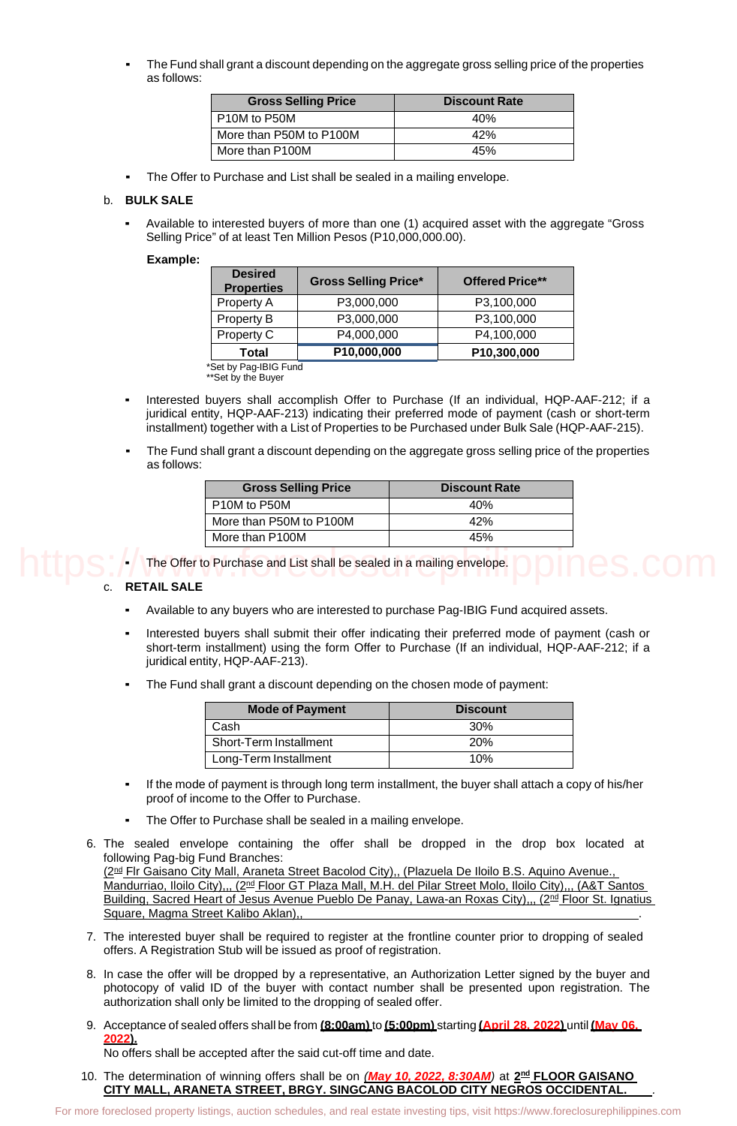The Fund shall grant a discount depending on the aggregate gross selling price of the properties as follows:

| <b>Gross Selling Price</b> | <b>Discount Rate</b> |
|----------------------------|----------------------|
| P10M to P50M               | 40%                  |
| More than P50M to P100M    | 42%                  |
| More than P100M            | 45%                  |

The Offer to Purchase and List shall be sealed in a mailing envelope.

### b. **BULK SALE**

Available to interested buyers of more than one (1) acquired asset with the aggregate "Gross Selling Price" of at least Ten Million Pesos (P10,000,000.00).

### **Example:**

| <b>Desired</b><br><b>Properties</b> | <b>Gross Selling Price*</b> | <b>Offered Price**</b> |
|-------------------------------------|-----------------------------|------------------------|
| Property A                          | P3,000,000                  | P3,100,000             |
| Property B                          | P3,000,000                  | P3,100,000             |
| Property C                          | P4,000,000                  | P4,100,000             |
| <b>Total</b>                        | P10,000,000                 | P10,300,000            |

Set by Pag-IBIG Fun $\overline{\mathtt{d}}$ \*\*Set by the Buyer

- Interested buyers shall accomplish Offer to Purchase (If an individual, HQP-AAF-212; if a juridical entity, HQP-AAF-213) indicating their preferred mode of payment (cash or short-term installment) together with a List of Properties to be Purchased under Bulk Sale (HQP-AAF-215).
- The Fund shall grant a discount depending on the aggregate gross selling price of the properties as follows:

| <b>Gross Selling Price</b> | <b>Discount Rate</b> |
|----------------------------|----------------------|
| P10M to P50M               | 40%                  |
| More than P50M to P100M    | 42%                  |
| More than P100M            | 45%                  |

The Offer to Purchase and List shall be sealed in a mailing envelope.

## c. **RETAIL SALE**

- Available to any buyers who are interested to purchase Pag-IBIG Fund acquired assets.
- Interested buyers shall submit their offer indicating their preferred mode of payment (cash or short-term installment) using the form Offer to Purchase (If an individual, HQP-AAF-212; if a juridical entity, HQP-AAF-213).
- The Fund shall grant a discount depending on the chosen mode of payment:

| <b>Mode of Payment</b> | <b>Discount</b> |
|------------------------|-----------------|
| Cash                   | 30 <sup>%</sup> |
| Short-Term Installment | <b>20%</b>      |
| Long-Term Installment  | 10%             |

- If the mode of payment is through long term installment, the buyer shall attach a copy of his/her proof of income to the Offer to Purchase.
- The Offer to Purchase shall be sealed in a mailing envelope.
- 6. The sealed envelope containing the offer shall be dropped in the drop box located at following Pag-big Fund Branches: (2<sup>nd</sup> Flr Gaisano City Mall, Araneta Street Bacolod City),, (Plazuela De Iloilo B.S. Aquino Avenue., Mandurriao, Iloilo City),,, (2<sup>nd</sup> Floor GT Plaza Mall, M.H. del Pilar Street Molo, Iloilo City),,, (A&T Santos Building, Sacred Heart of Jesus Avenue Pueblo De Panay, Lawa-an Roxas City),,, (2<sup>nd</sup> Floor St. Ignatius **For Formore Foreclosed property listings**, **COPP**<br>
CREAT ALL SALE is any buyers who are interested to purchase Pag-IBIG Fund acquired assets.<br>
Interested buyers who are interested to purchase of the price foreclose of pa

Square, Magma Street Kalibo Aklan)

- 7. The interested buyer shall be required to register at the frontline counter prior to dropping of sealed offers. A Registration Stub will be issued as proof of registration.
- 8. In case the offer will be dropped by a representative, an Authorization Letter signed by the buyer and photocopy of valid ID of the buyer with contact number shall be presented upon registration. The authorization shall only be limited to the dropping of sealed offer.
- 9. Acceptance of sealed offers shall be from **(8:00am)** to **(5:00pm)** starting **(April 28, 2022)** until **(May 06, 2022).**

No offers shall be accepted after the said cut-off time and date.

10. The determination of winning offers shall be on *(May 10, 2022, 8:30AM)* at **2nd FLOOR GAISANO CITY MALL, ARANETA STREET, BRGY. SINGCANG BACOLOD CITY NEGROS OCCIDENTAL.** *.*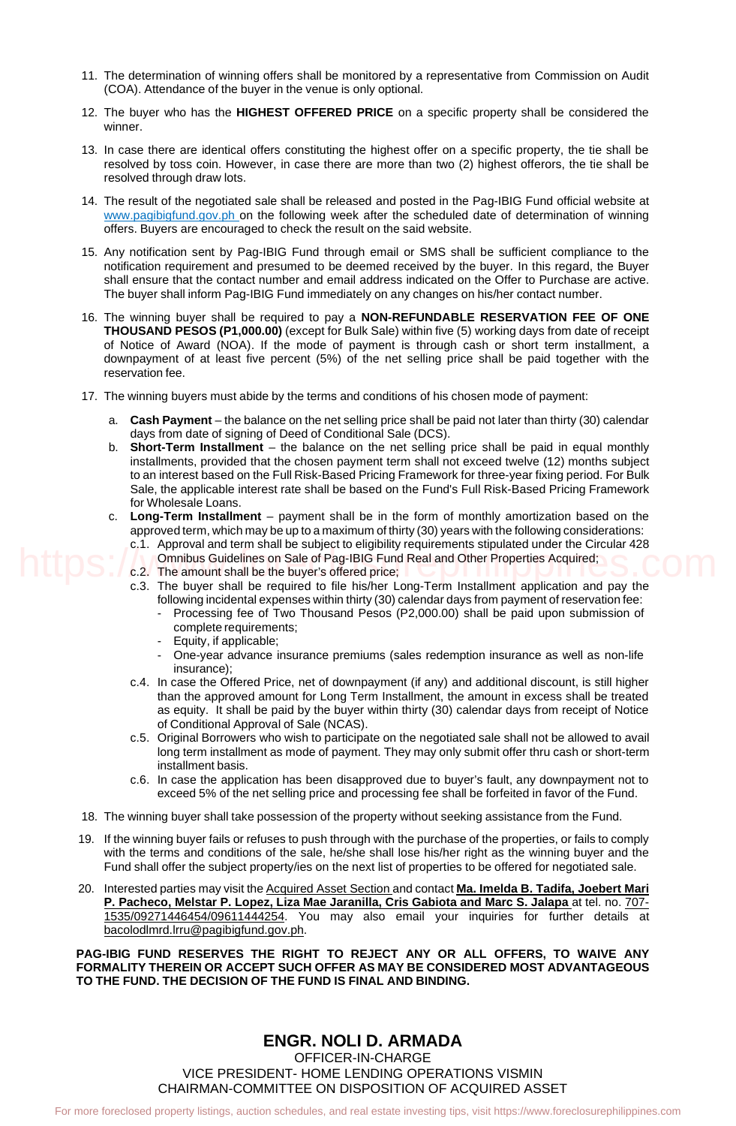- 11. The determination of winning offers shall be monitored by a representative from Commission on Audit (COA). Attendance of the buyer in the venue is only optional.
- 12. The buyer who has the **HIGHEST OFFERED PRICE** on a specific property shall be considered the winner.
- 13. In case there are identical offers constituting the highest offer on a specific property, the tie shall be resolved by toss coin. However, in case there are more than two (2) highest offerors, the tie shall be resolved through draw lots.
- 14. The result of the negotiated sale shall be released and posted in the Pag-IBIG Fund official website at [www.pagibigfund.gov.ph](http://www.pagibigfund.gov.ph/) on the following week after the scheduled date of determination of winning offers. Buyers are encouraged to check the result on the said website.
- 15. Any notification sent by Pag-IBIG Fund through email or SMS shall be sufficient compliance to the notification requirement and presumed to be deemed received by the buyer. In this regard, the Buyer shall ensure that the contact number and email address indicated on the Offer to Purchase are active. The buyer shall inform Pag-IBIG Fund immediately on any changes on his/her contact number.
- 16. The winning buyer shall be required to pay a **NON-REFUNDABLE RESERVATION FEE OF ONE THOUSAND PESOS (P1,000.00)** (except for Bulk Sale) within five (5) working days from date of receipt of Notice of Award (NOA). If the mode of payment is through cash or short term installment, a downpayment of at least five percent (5%) of the net selling price shall be paid together with the reservation fee.
- 17. The winning buyers must abide by the terms and conditions of his chosen mode of payment:
	- a. **Cash Payment** the balance on the net selling price shall be paid not later than thirty (30) calendar days from date of signing of Deed of Conditional Sale (DCS).
	- b. **Short-Term Installment** the balance on the net selling price shall be paid in equal monthly installments, provided that the chosen payment term shall not exceed twelve (12) months subject to an interest based on the Full Risk-Based Pricing Framework for three-year fixing period. For Bulk Sale, the applicable interest rate shall be based on the Fund's Full Risk-Based Pricing Framework for Wholesale Loans.
	- c. **Long-Term Installment** payment shall be in the form of monthly amortization based on the approved term, which may be up to a maximum of thirty (30) years with the following considerations: c.1. Approval and term shall be subject to eligibility requirements stipulated under the Circular 428
		- Omnibus Guidelines on Sale of Pag-IBIG Fund Real and Other Properties Acquired;
		- c.2. The amount shall be the buyer's offered price;
		- c.3. The buyer shall be required to file his/her Long-Term Installment application and pay the following incidental expenses within thirty (30) calendar days from payment of reservation fee:
			- Processing fee of Two Thousand Pesos (P2,000.00) shall be paid upon submission of complete requirements:
			- Equity, if applicable;
			- One-year advance insurance premiums (sales redemption insurance as well as non-life insurance);
		- c.4. In case the Offered Price, net of downpayment (if any) and additional discount, is still higher than the approved amount for Long Term Installment, the amount in excess shall be treated as equity. It shall be paid by the buyer within thirty (30) calendar days from receipt of Notice of Conditional Approval of Sale (NCAS).
		- c.5. Original Borrowers who wish to participate on the negotiated sale shall not be allowed to avail long term installment as mode of payment. They may only submit offer thru cash or short-term installment basis.
		- c.6. In case the application has been disapproved due to buyer's fault, any downpayment not to exceed 5% of the net selling price and processing fee shall be forfeited in favor of the Fund.
- 18. The winning buyer shall take possession of the property without seeking assistance from the Fund.
- 19. If the winning buyer fails or refuses to push through with the purchase of the properties, or fails to comply with the terms and conditions of the sale, he/she shall lose his/her right as the winning buyer and the Fund shall offer the subject property/ies on the next list of properties to be offered for negotiated sale.
- 20. Interested parties may visit the Acquired Asset Section and contact **Ma. Imelda B. Tadifa, Joebert Mari P. Pacheco, Melstar P. Lopez, Liza Mae Jaranilla, Cris Gabiota and Marc S. Jalapa** at tel. no. 707- 1535/09271446454/09611444254. You may also email your inquiries for further details at bacolodlmrd.lrru@pagibigfund.gov.ph. For Content properties of Shee the properties Aquitation schedules, and the properties and real estate investing the state investing the state investing the state investing the state investing the schedules in the state i

**PAG-IBIG FUND RESERVES THE RIGHT TO REJECT ANY OR ALL OFFERS, TO WAIVE ANY FORMALITY THEREIN OR ACCEPT SUCH OFFER AS MAY BE CONSIDERED MOST ADVANTAGEOUS TO THE FUND. THE DECISION OF THE FUND IS FINAL AND BINDING.**

> **ENGR. NOLI D. ARMADA** OFFICER-IN-CHARGE VICE PRESIDENT- HOME LENDING OPERATIONS VISMIN CHAIRMAN-COMMITTEE ON DISPOSITION OF ACQUIRED ASSET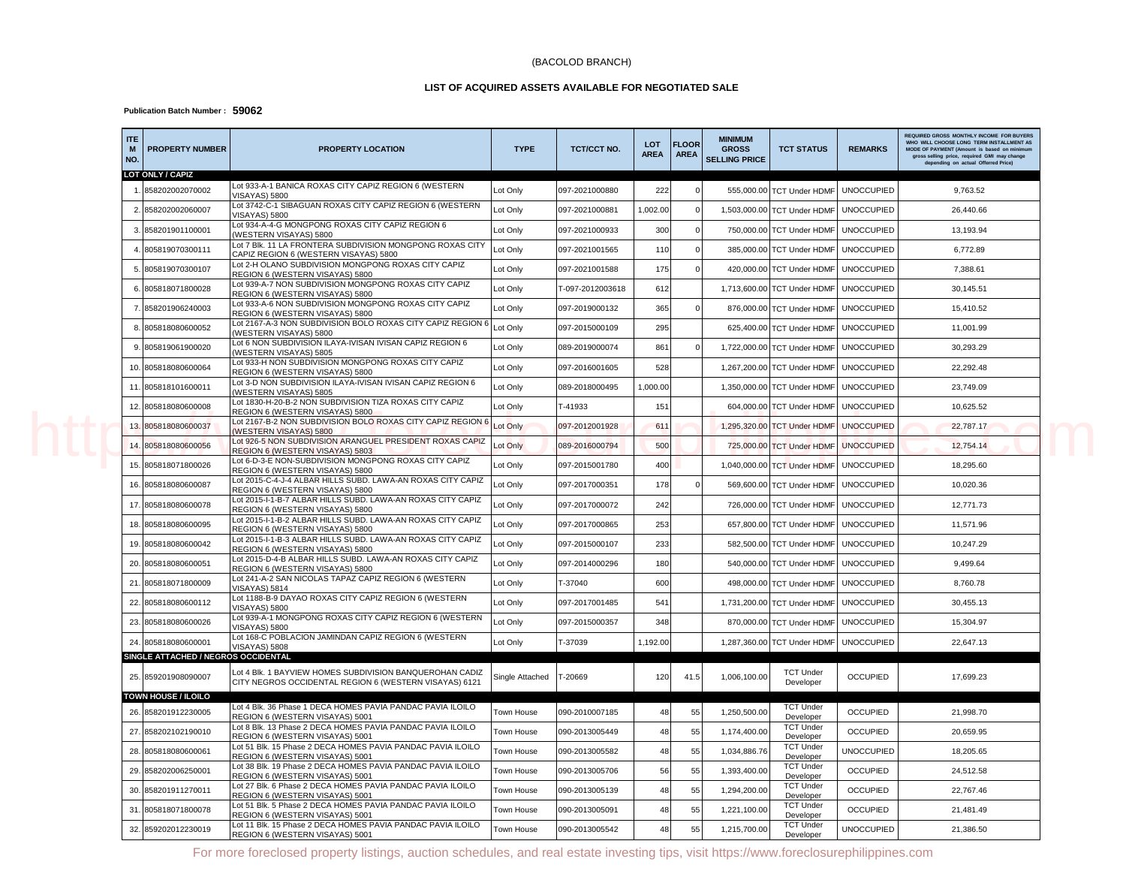### (BACOLOD BRANCH)

### **LIST OF ACQUIRED ASSETS AVAILABLE FOR NEGOTIATED SALE**

### **Publication Batch Number : 59062**

| <b>ITE</b><br><b>PROPERTY NUMBER</b><br>M<br>NO. | PROPERTY LOCATION                                                                                                  | <b>TYPE</b>       | <b>TCT/CCT NO.</b> | <b>LOT</b><br><b>AREA</b> | <b>FLOOR</b><br><b>AREA</b> | <b>MINIMUM</b><br><b>GROSS</b><br><b>SELLING PRICE</b> | <b>TCT STATUS</b>             | <b>REMARKS</b>    | <b>REQUIRED GROSS MONTHLY INCOME FOR BUYERS</b><br>WHO WILL CHOOSE LONG TERM INSTALLMENT AS<br>MODE OF PAYMENT (Amount is based on mir<br>gross selling price, required GMI may change<br>depending on actual Offerred Price |
|--------------------------------------------------|--------------------------------------------------------------------------------------------------------------------|-------------------|--------------------|---------------------------|-----------------------------|--------------------------------------------------------|-------------------------------|-------------------|------------------------------------------------------------------------------------------------------------------------------------------------------------------------------------------------------------------------------|
| LOT ONLY / CAPIZ                                 | Lot 933-A-1 BANICA ROXAS CITY CAPIZ REGION 6 (WESTERN                                                              |                   |                    |                           |                             |                                                        |                               |                   |                                                                                                                                                                                                                              |
| 858202002070002                                  | <b>VISAYAS) 5800</b>                                                                                               | Lot Only          | 097-2021000880     | 222                       |                             |                                                        | 555,000.00 TCT Under HDMF     | <b>UNOCCUPIED</b> | 9,763.52                                                                                                                                                                                                                     |
| 2. 858202002060007                               | Lot 3742-C-1 SIBAGUAN ROXAS CITY CAPIZ REGION 6 (WESTERN<br><b>VISAYAS) 5800</b>                                   | Lot Only          | 097-2021000881     | 1,002.00                  |                             |                                                        | 1,503,000.00 TCT Under HDMF   | <b>UNOCCUPIED</b> | 26,440.66                                                                                                                                                                                                                    |
| 858201901100001<br>$\mathbf{B}$                  | Lot 934-A-4-G MONGPONG ROXAS CITY CAPIZ REGION 6<br>(WESTERN VISAYAS) 5800                                         | Lot Only          | 097-2021000933     | 300                       |                             |                                                        | 750,000.00 TCT Under HDMF     | <b>UNOCCUPIED</b> | 13,193.94                                                                                                                                                                                                                    |
| 805819070300111                                  | Lot 7 Blk. 11 LA FRONTERA SUBDIVISION MONGPONG ROXAS CITY<br>CAPIZ REGION 6 (WESTERN VISAYAS) 5800                 | Lot Only          | 097-2021001565     | 110                       |                             |                                                        | 385,000.00 TCT Under HDMF     | <b>UNOCCUPIED</b> | 6,772.89                                                                                                                                                                                                                     |
| 5. 805819070300107                               | Lot 2-H OLANO SUBDIVISION MONGPONG ROXAS CITY CAPIZ<br>REGION 6 (WESTERN VISAYAS) 5800                             | Lot Only          | 097-2021001588     | 175                       |                             |                                                        | 420,000.00 TCT Under HDMF     | <b>UNOCCUPIED</b> | 7,388.61                                                                                                                                                                                                                     |
| 6. 805818071800028                               | Lot 939-A-7 NON SUBDIVISION MONGPONG ROXAS CITY CAPIZ<br>REGION 6 (WESTERN VISAYAS) 5800                           | Lot Only          | T-097-2012003618   | 612                       |                             |                                                        | 1,713,600.00 TCT Under HDMF   | <b>UNOCCUPIED</b> | 30,145.51                                                                                                                                                                                                                    |
| 7. 858201906240003                               | Lot 933-A-6 NON SUBDIVISION MONGPONG ROXAS CITY CAPIZ<br>REGION 6 (WESTERN VISAYAS) 5800                           | Lot Only          | 097-2019000132     | 365                       |                             |                                                        | 876,000.00 TCT Under HDMF     | <b>UNOCCUPIED</b> | 15,410.52                                                                                                                                                                                                                    |
| 805818080600052<br>-8.                           | Lot 2167-A-3 NON SUBDIVISION BOLO ROXAS CITY CAPIZ REGION 6<br>(WESTERN VISAYAS) 5800                              | Lot Only          | 097-2015000109     | 295                       |                             |                                                        | 625,400.00 TCT Under HDMF     | <b>UNOCCUPIED</b> | 11,001.99                                                                                                                                                                                                                    |
| 9. 805819061900020                               | Lot 6 NON SUBDIVISION ILAYA-IVISAN IVISAN CAPIZ REGION 6<br>(WESTERN VISAYAS) 5805                                 | Lot Only          | 089-2019000074     | 861                       |                             |                                                        | 1,722,000.00 TCT Under HDMF   | <b>UNOCCUPIED</b> | 30,293.29                                                                                                                                                                                                                    |
| 10. 805818080600064                              | Lot 933-H NON SUBDIVISION MONGPONG ROXAS CITY CAPIZ<br>REGION 6 (WESTERN VISAYAS) 5800                             | Lot Only          | 097-2016001605     | 528                       |                             |                                                        | 1,267,200.00 TCT Under HDMF   | <b>UNOCCUPIED</b> | 22,292.48                                                                                                                                                                                                                    |
| 805818101600011<br>11.                           | Lot 3-D NON SUBDIVISION ILAYA-IVISAN IVISAN CAPIZ REGION 6<br>(WESTERN VISAYAS) 5805                               | Lot Only          | 089-2018000495     | 1,000.00                  |                             |                                                        | 1,350,000.00 TCT Under HDMF   | <b>UNOCCUPIED</b> | 23,749.09                                                                                                                                                                                                                    |
| 12. 805818080600008                              | Lot 1830-H-20-B-2 NON SUBDIVISION TIZA ROXAS CITY CAPIZ<br>REGION 6 (WESTERN VISAYAS) 5800                         | Lot Only          | T-41933            | 151                       |                             |                                                        | 604,000.00 TCT Under HDMF     | <b>UNOCCUPIED</b> | 10,625.52                                                                                                                                                                                                                    |
| 13.805818080600037                               | Lot 2167-B-2 NON SUBDIVISION BOLO ROXAS CITY CAPIZ REGION 6<br>(WESTERN VISAYAS) 5800                              | Lot Only          | 097-2012001928     | 611                       |                             |                                                        | 1,295,320.00 TCT Under HDMF   | <b>UNOCCUPIED</b> | 22,787.17                                                                                                                                                                                                                    |
| 805818080600056<br>14                            | Lot 926-5 NON SUBDIVISION ARANGUEL PRESIDENT ROXAS CAPIZ<br>REGION 6 (WESTERN VISAYAS) 5803                        | Lot Only          | 089-2016000794     | 500                       |                             |                                                        | 725,000.00 TCT Under HDMF     | <b>UNOCCUPIED</b> | 12,754.14                                                                                                                                                                                                                    |
| 805818071800026<br>15                            | Lot 6-D-3-E NON-SUBDIVISION MONGPONG ROXAS CITY CAPIZ<br>REGION 6 (WESTERN VISAYAS) 5800                           | Lot Only          | 097-2015001780     | 400                       |                             |                                                        | 1,040,000.00 TCT Under HDMF   | <b>UNOCCUPIED</b> | 18,295.60                                                                                                                                                                                                                    |
| 16. 805818080600087                              | Lot 2015-C-4-J-4 ALBAR HILLS SUBD. LAWA-AN ROXAS CITY CAPIZ<br>REGION 6 (WESTERN VISAYAS) 5800                     | Lot Only          | 097-2017000351     | 178                       |                             |                                                        | 569,600.00 TCT Under HDMF     | <b>UNOCCUPIED</b> | 10,020.36                                                                                                                                                                                                                    |
| 17. 805818080600078                              | Lot 2015-I-1-B-7 ALBAR HILLS SUBD. LAWA-AN ROXAS CITY CAPIZ<br>REGION 6 (WESTERN VISAYAS) 5800                     | Lot Only          | 097-2017000072     | 242                       |                             |                                                        | 726,000.00 TCT Under HDMF     | <b>UNOCCUPIED</b> | 12,771.73                                                                                                                                                                                                                    |
| 18. 805818080600095                              | Lot 2015-I-1-B-2 ALBAR HILLS SUBD. LAWA-AN ROXAS CITY CAPIZ<br>REGION 6 (WESTERN VISAYAS) 5800                     | Lot Only          | 097-2017000865     | 253                       |                             |                                                        | 657,800.00 TCT Under HDMF     | <b>UNOCCUPIED</b> | 11,571.96                                                                                                                                                                                                                    |
| 19. 805818080600042                              | Lot 2015-I-1-B-3 ALBAR HILLS SUBD. LAWA-AN ROXAS CITY CAPIZ<br>REGION 6 (WESTERN VISAYAS) 5800                     | Lot Only          | 097-2015000107     | 233                       |                             |                                                        | 582,500.00 TCT Under HDMF     | <b>UNOCCUPIED</b> | 10,247.29                                                                                                                                                                                                                    |
| 20. 805818080600051                              | Lot 2015-D-4-B ALBAR HILLS SUBD. LAWA-AN ROXAS CITY CAPIZ<br>REGION 6 (WESTERN VISAYAS) 5800                       | Lot Only          | 097-2014000296     | 180                       |                             |                                                        | 540,000.00 TCT Under HDMF     | <b>UNOCCUPIED</b> | 9,499.64                                                                                                                                                                                                                     |
| 21. 805818071800009                              | Lot 241-A-2 SAN NICOLAS TAPAZ CAPIZ REGION 6 (WESTERN<br>VISAYAS) 5814                                             | Lot Only          | T-37040            | 600                       |                             |                                                        | 498,000.00 TCT Under HDMF     | <b>UNOCCUPIED</b> | 8,760.78                                                                                                                                                                                                                     |
| 22. 805818080600112                              | Lot 1188-B-9 DAYAO ROXAS CITY CAPIZ REGION 6 (WESTERN<br>VISAYAS) 5800                                             | Lot Only          | 097-2017001485     | 541                       |                             |                                                        | 1,731,200.00 TCT Under HDMF   | <b>UNOCCUPIED</b> | 30,455.13                                                                                                                                                                                                                    |
| 23. 805818080600026                              | Lot 939-A-1 MONGPONG ROXAS CITY CAPIZ REGION 6 (WESTERN<br><b>VISAYAS) 5800</b>                                    | Lot Only          | 097-2015000357     | 348                       |                             |                                                        | 870,000.00 TCT Under HDMF     | <b>UNOCCUPIED</b> | 15,304.97                                                                                                                                                                                                                    |
| 24. 805818080600001                              | Lot 168-C POBLACION JAMINDAN CAPIZ REGION 6 (WESTERN<br><b>VISAYAS) 5808</b>                                       | Lot Only          | T-37039            | 1,192.00                  |                             |                                                        | 1,287,360.00 TCT Under HDMF   | <b>UNOCCUPIED</b> | 22,647.13                                                                                                                                                                                                                    |
| SINGLE ATTACHED / NEGROS OCCIDENTAL              |                                                                                                                    |                   |                    |                           |                             |                                                        |                               |                   |                                                                                                                                                                                                                              |
| 25. 859201908090007                              | Lot 4 Blk. 1 BAYVIEW HOMES SUBDIVISION BANQUEROHAN CADIZ<br>CITY NEGROS OCCIDENTAL REGION 6 (WESTERN VISAYAS) 6121 | Single Attached   | T-20669            | 120                       | 41.5                        | 1,006,100.00                                           | <b>TCT Under</b><br>Developer | <b>OCCUPIED</b>   | 17,699.23                                                                                                                                                                                                                    |
| <b>TOWN HOUSE / ILOILO</b>                       |                                                                                                                    |                   |                    |                           |                             |                                                        |                               |                   |                                                                                                                                                                                                                              |
| 858201912230005<br>26.                           | Lot 4 Blk. 36 Phase 1 DECA HOMES PAVIA PANDAC PAVIA ILOILO<br>REGION 6 (WESTERN VISAYAS) 5001                      | <b>Town House</b> | 090-2010007185     | 48                        | 55                          | 1,250,500.00                                           | <b>TCT Under</b><br>Developer | <b>OCCUPIED</b>   | 21,998.70                                                                                                                                                                                                                    |
| 27. 858202102190010                              | Lot 8 Blk. 13 Phase 2 DECA HOMES PAVIA PANDAC PAVIA ILOILO<br>REGION 6 (WESTERN VISAYAS) 5001                      | Town House        | 090-2013005449     | 48                        | 55                          | 1,174,400.00                                           | <b>TCT Under</b><br>Developer | <b>OCCUPIED</b>   | 20,659.95                                                                                                                                                                                                                    |
| 28. 805818080600061                              | Lot 51 Blk. 15 Phase 2 DECA HOMES PAVIA PANDAC PAVIA ILOILO<br>REGION 6 (WESTERN VISAYAS) 5001                     | Town House        | 090-2013005582     | 48                        | 55                          | 1,034,886.76                                           | <b>TCT Under</b><br>Developer | <b>UNOCCUPIED</b> | 18,205.65                                                                                                                                                                                                                    |
| 29. 858202006250001                              | Lot 38 Blk. 19 Phase 2 DECA HOMES PAVIA PANDAC PAVIA ILOILO<br>REGION 6 (WESTERN VISAYAS) 5001                     | Town House        | 090-2013005706     | 56                        | 55                          | 1,393,400.00                                           | <b>TCT Under</b><br>Developer | <b>OCCUPIED</b>   | 24,512.58                                                                                                                                                                                                                    |
| 30.<br>858201911270011                           | Lot 27 Blk. 6 Phase 2 DECA HOMES PAVIA PANDAC PAVIA ILOILO<br>REGION 6 (WESTERN VISAYAS) 5001                      | Town House        | 090-2013005139     | 48                        | 55                          | 1,294,200.00                                           | <b>TCT Under</b><br>Developer | <b>OCCUPIED</b>   | 22,767.46                                                                                                                                                                                                                    |
| 805818071800078<br>31.                           | Lot 51 Blk. 5 Phase 2 DECA HOMES PAVIA PANDAC PAVIA ILOILO<br>REGION 6 (WESTERN VISAYAS) 5001                      | Town House        | 090-2013005091     | 48                        | 55                          | 1,221,100.00                                           | <b>TCT Under</b><br>Developer | <b>OCCUPIED</b>   | 21,481.49                                                                                                                                                                                                                    |
| 859202012230019<br>32.                           | Lot 11 Blk. 15 Phase 2 DECA HOMES PAVIA PANDAC PAVIA ILOILO<br>REGION 6 (WESTERN VISAYAS) 5001                     | Town House        | 090-2013005542     | 48                        | 55                          | 1,215,700.00                                           | <b>TCT Under</b><br>Developer | <b>UNOCCUPIED</b> | 21,386.50                                                                                                                                                                                                                    |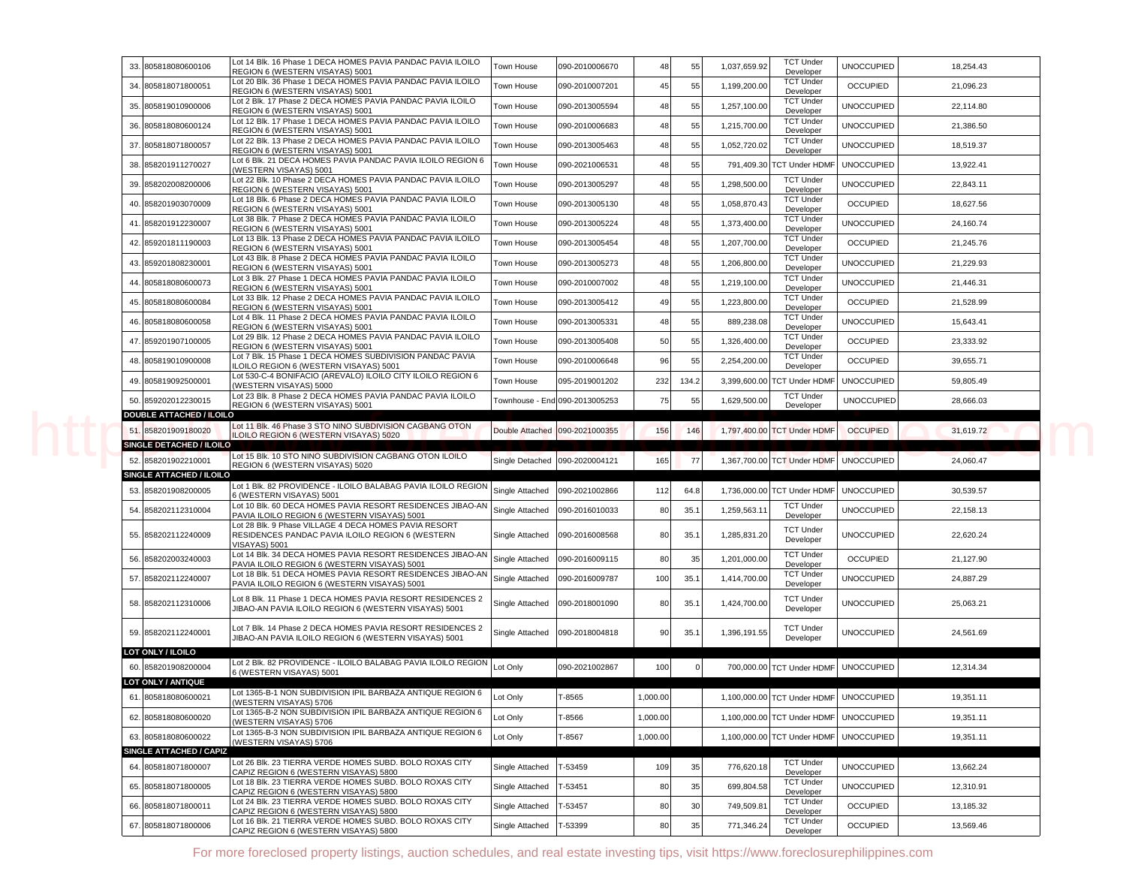|  | 33. 805818080600106                             | Lot 14 Blk. 16 Phase 1 DECA HOMES PAVIA PANDAC PAVIA ILOILO<br>REGION 6 (WESTERN VISAYAS) 5001                                                            | Town House      | 090-2010006670                 | 48       | 55    | 1,037,659.92 | <b>TCT Under</b><br>Developer              | <b>UNOCCUPIED</b> | 18,254.43 |
|--|-------------------------------------------------|-----------------------------------------------------------------------------------------------------------------------------------------------------------|-----------------|--------------------------------|----------|-------|--------------|--------------------------------------------|-------------------|-----------|
|  | 34. 805818071800051                             | Lot 20 Blk. 36 Phase 1 DECA HOMES PAVIA PANDAC PAVIA ILOILO<br>REGION 6 (WESTERN VISAYAS) 5001                                                            | Town House      | 090-2010007201                 | 45       | 55    | 1,199,200.00 | <b>TCT Under</b><br>Developer              | <b>OCCUPIED</b>   | 21,096.23 |
|  | 35. 805819010900006                             | Lot 2 Blk. 17 Phase 2 DECA HOMES PAVIA PANDAC PAVIA ILOILO<br>REGION 6 (WESTERN VISAYAS) 5001                                                             | Town House      | 090-2013005594                 | 48       | 55    | 1,257,100.00 | <b>TCT Under</b><br>Developer              | <b>UNOCCUPIED</b> | 22,114.80 |
|  | 36. 805818080600124                             | Lot 12 Blk. 17 Phase 1 DECA HOMES PAVIA PANDAC PAVIA ILOILO<br>REGION 6 (WESTERN VISAYAS) 5001                                                            | Town House      | 090-2010006683                 | 48       | 55    | 1,215,700.00 | <b>TCT Under</b><br>Developer              | <b>UNOCCUPIED</b> | 21,386.50 |
|  | 37. 805818071800057                             | Lot 22 Blk. 13 Phase 2 DECA HOMES PAVIA PANDAC PAVIA ILOILO                                                                                               | Town House      | 090-2013005463                 | 48       | 55    | 1,052,720.02 | <b>TCT Under</b>                           | <b>UNOCCUPIED</b> | 18,519.37 |
|  | 38. 858201911270027                             | REGION 6 (WESTERN VISAYAS) 5001<br>Lot 6 Blk. 21 DECA HOMES PAVIA PANDAC PAVIA ILOILO REGION 6                                                            | Town House      | 090-2021006531                 | 48       | 55    |              | Developer<br>791,409.30 TCT Under HDMF     | <b>UNOCCUPIED</b> | 13,922.41 |
|  | 39. 858202008200006                             | (WESTERN VISAYAS) 5001<br>Lot 22 Blk. 10 Phase 2 DECA HOMES PAVIA PANDAC PAVIA ILOILO                                                                     | Town House      | 090-2013005297                 | 48       | 55    | 1,298,500.00 | <b>TCT Under</b>                           | <b>UNOCCUPIED</b> | 22,843.11 |
|  | 40. 858201903070009                             | REGION 6 (WESTERN VISAYAS) 5001<br>Lot 18 Blk. 6 Phase 2 DECA HOMES PAVIA PANDAC PAVIA ILOILO                                                             | Town House      | 090-2013005130                 | 48       | 55    | 1,058,870.43 | Developer<br><b>TCT Under</b>              | <b>OCCUPIED</b>   | 18,627.56 |
|  | 41. 858201912230007                             | REGION 6 (WESTERN VISAYAS) 5001<br>Lot 38 Blk. 7 Phase 2 DECA HOMES PAVIA PANDAC PAVIA ILOILO                                                             | Town House      | 090-2013005224                 | 48       | 55    | 1,373,400.00 | Developer<br><b>TCT Under</b>              | <b>UNOCCUPIED</b> | 24,160.74 |
|  |                                                 | REGION 6 (WESTERN VISAYAS) 5001<br>Lot 13 Blk. 13 Phase 2 DECA HOMES PAVIA PANDAC PAVIA ILOILO                                                            |                 |                                |          |       |              | Developer<br><b>TCT Under</b>              |                   |           |
|  | 42. 859201811190003                             | REGION 6 (WESTERN VISAYAS) 5001<br>Lot 43 Blk. 8 Phase 2 DECA HOMES PAVIA PANDAC PAVIA ILOILO                                                             | Town House      | 090-2013005454                 | 48       | 55    | 1,207,700.00 | Developer<br><b>TCT Under</b>              | <b>OCCUPIED</b>   | 21,245.76 |
|  | 43. 859201808230001                             | REGION 6 (WESTERN VISAYAS) 5001<br>Lot 3 Blk. 27 Phase 1 DECA HOMES PAVIA PANDAC PAVIA ILOILO                                                             | Town House      | 090-2013005273                 | 48       | 55    | 1,206,800.00 | Developer<br><b>TCT Under</b>              | <b>UNOCCUPIED</b> | 21,229.93 |
|  | 44. 805818080600073                             | REGION 6 (WESTERN VISAYAS) 5001                                                                                                                           | Town House      | 090-2010007002                 | 48       | 55    | 1,219,100.00 | Developer                                  | <b>UNOCCUPIED</b> | 21,446.31 |
|  | 45. 805818080600084                             | Lot 33 Blk. 12 Phase 2 DECA HOMES PAVIA PANDAC PAVIA ILOILO<br>REGION 6 (WESTERN VISAYAS) 5001                                                            | Town House      | 090-2013005412                 | 49       | 55    | 1,223,800.00 | <b>TCT Under</b><br>Developer              | <b>OCCUPIED</b>   | 21,528.99 |
|  | 46. 805818080600058                             | Lot 4 Blk. 11 Phase 2 DECA HOMES PAVIA PANDAC PAVIA ILOILO<br>REGION 6 (WESTERN VISAYAS) 5001                                                             | Town House      | 090-2013005331                 | 48       | 55    | 889,238.08   | <b>TCT Under</b><br>Developer              | <b>UNOCCUPIED</b> | 15,643.41 |
|  | 47. 859201907100005                             | Lot 29 Blk. 12 Phase 2 DECA HOMES PAVIA PANDAC PAVIA ILOILO<br>REGION 6 (WESTERN VISAYAS) 5001                                                            | Town House      | 090-2013005408                 | 50       | 55    | 1,326,400.00 | <b>TCT Under</b><br>Developer              | <b>OCCUPIED</b>   | 23,333.92 |
|  | 48. 805819010900008                             | Lot 7 Blk. 15 Phase 1 DECA HOMES SUBDIVISION PANDAC PAVIA<br>ILOILO REGION 6 (WESTERN VISAYAS) 5001                                                       | Town House      | 090-2010006648                 | 96       | 55    | 2,254,200.00 | <b>TCT Under</b><br>Developer              | <b>OCCUPIED</b>   | 39,655.71 |
|  | 49. 805819092500001                             | Lot 530-C-4 BONIFACIO (AREVALO) ILOILO CITY ILOILO REGION 6<br>(WESTERN VISAYAS) 5000                                                                     | Town House      | 095-2019001202                 | 232      | 134.2 |              | 3,399,600.00 TCT Under HDMF                | <b>UNOCCUPIED</b> | 59,805.49 |
|  | 50. 859202012230015                             | Lot 23 Blk. 8 Phase 2 DECA HOMES PAVIA PANDAC PAVIA ILOILO<br>REGION 6 (WESTERN VISAYAS) 5001                                                             |                 | Townhouse - End 090-2013005253 | 75       | 55    | 1,629,500.00 | <b>TCT Under</b><br>Developer              | <b>UNOCCUPIED</b> | 28,666.03 |
|  | <b>DOUBLE ATTACHED / ILOILO</b>                 | Lot 11 Blk. 46 Phase 3 STO NINO SUBDIVISION CAGBANG OTON                                                                                                  |                 |                                |          |       |              |                                            |                   |           |
|  |                                                 |                                                                                                                                                           |                 |                                |          |       |              |                                            |                   | 31,619.72 |
|  | 51. 858201909180020                             | LOILO REGION 6 (WESTERN VISAYAS) 5020                                                                                                                     | Double Attached | 090-2021000355                 | 156      | 146   |              | 1,797,400.00 TCT Under HDMF                | <b>OCCUPIED</b>   |           |
|  | SINGLE DETACHED / ILOILO                        | Lot 15 Blk. 10 STO NINO SUBDIVISION CAGBANG OTON ILOILO                                                                                                   |                 |                                |          |       |              |                                            |                   |           |
|  | 52. 858201902210001<br>SINGLE ATTACHED / ILOILO | REGION 6 (WESTERN VISAYAS) 5020                                                                                                                           | Single Detached | 090-2020004121                 | 165      | 77    |              | 1,367,700.00 TCT Under HDMF                | <b>UNOCCUPIED</b> | 24,060.47 |
|  | 53. 858201908200005                             | Lot 1 Blk. 82 PROVIDENCE - ILOILO BALABAG PAVIA ILOILO REGION                                                                                             | Single Attached | 090-2021002866                 | 112      | 64.8  |              | 1,736,000.00 TCT Under HDMF                | <b>UNOCCUPIED</b> | 30,539.57 |
|  | 54. 858202112310004                             | 6 (WESTERN VISAYAS) 5001<br>Lot 10 Blk. 60 DECA HOMES PAVIA RESORT RESIDENCES JIBAO-AN                                                                    | Single Attached | 090-2016010033                 | 80       | 35.1  | 1,259,563.1  | <b>TCT Under</b>                           | <b>UNOCCUPIED</b> | 22,158.13 |
|  | 55. 858202112240009                             | PAVIA ILOILO REGION 6 (WESTERN VISAYAS) 5001<br>Lot 28 Blk. 9 Phase VILLAGE 4 DECA HOMES PAVIA RESORT<br>RESIDENCES PANDAC PAVIA ILOILO REGION 6 (WESTERN | Single Attached | 090-2016008568                 | 80       | 35.1  | 1,285,831.20 | Developer<br><b>TCT Under</b><br>Developer | <b>UNOCCUPIED</b> | 22,620.24 |
|  |                                                 | VISAYAS) 5001<br>Lot 14 Blk. 34 DECA HOMES PAVIA RESORT RESIDENCES JIBAO-AN                                                                               |                 |                                |          |       |              | <b>TCT Under</b>                           |                   |           |
|  | 56. 858202003240003                             | PAVIA ILOILO REGION 6 (WESTERN VISAYAS) 5001<br>Lot 18 Blk. 51 DECA HOMES PAVIA RESORT RESIDENCES JIBAO-AN                                                | Single Attached | 090-2016009115                 | 80       | 35    | 1,201,000.00 | Developer<br><b>TCT Under</b>              | <b>OCCUPIED</b>   | 21,127.90 |
|  | 57. 858202112240007                             | PAVIA ILOILO REGION 6 (WESTERN VISAYAS) 5001                                                                                                              | Single Attached | 090-2016009787                 | 100      | 35.1  | 1,414,700.00 | Developer                                  | <b>UNOCCUPIED</b> | 24,887.29 |
|  | 58. 858202112310006                             | Lot 8 Blk. 11 Phase 1 DECA HOMES PAVIA RESORT RESIDENCES 2<br>JIBAO-AN PAVIA ILOILO REGION 6 (WESTERN VISAYAS) 5001                                       | Single Attached | 090-2018001090                 | 80       | 35.1  | 1,424,700.00 | <b>TCT Under</b><br>Developer              | <b>UNOCCUPIED</b> | 25,063.21 |
|  |                                                 | Lot 7 Blk. 14 Phase 2 DECA HOMES PAVIA RESORT RESIDENCES 2                                                                                                |                 |                                |          |       |              | <b>TCT Under</b>                           |                   |           |
|  | 59. 858202112240001                             | JIBAO-AN PAVIA ILOILO REGION 6 (WESTERN VISAYAS) 5001                                                                                                     | Single Attached | 090-2018004818                 | 90       | 35.1  | 1,396,191.55 | Developer                                  | <b>UNOCCUPIED</b> | 24,561.69 |
|  | LOT ONLY / ILOILO<br>60. 858201908200004        | Lot 2 Blk. 82 PROVIDENCE - ILOILO BALABAG PAVIA ILOILO REGION                                                                                             | Lot Only        | 090-2021002867                 | 100      |       |              | 700,000.00 TCT Under HDMF                  | <b>UNOCCUPIED</b> | 12,314.34 |
|  | LOT ONLY / ANTIQUE                              | 6 (WESTERN VISAYAS) 5001                                                                                                                                  |                 |                                |          |       |              |                                            |                   |           |
|  | 61. 805818080600021                             | Lot 1365-B-1 NON SUBDIVISION IPIL BARBAZA ANTIQUE REGION 6<br>(WESTERN VISAYAS) 5706                                                                      |                 | Г-8565                         | 1,000.00 |       |              | 1,100,000.00 TCT Under HDMF                | <b>UNOCCUPIED</b> | 19,351.11 |
|  | 62. 805818080600020                             | Lot 1365-B-2 NON SUBDIVISION IPIL BARBAZA ANTIQUE REGION 6<br>(WESTERN VISAYAS) 5706                                                                      | Lot Only        | T-8566                         | 1,000.00 |       |              | 1,100,000.00 TCT Under HDMF                | <b>UNOCCUPIED</b> | 19,351.11 |
|  | 63. 805818080600022                             | Lot 1365-B-3 NON SUBDIVISION IPIL BARBAZA ANTIQUE REGION 6                                                                                                | Lot Only        | T-8567                         | 1,000.00 |       |              | 1,100,000.00 TCT Under HDMF                | <b>UNOCCUPIED</b> | 19,351.11 |
|  | SINGLE ATTACHED / CAPIZ                         | (WESTERN VISAYAS) 5706                                                                                                                                    |                 |                                |          |       |              |                                            |                   |           |
|  | 64. 805818071800007                             | Lot 26 Blk. 23 TIERRA VERDE HOMES SUBD. BOLO ROXAS CITY<br>CAPIZ REGION 6 (WESTERN VISAYAS) 5800                                                          | Single Attached | T-53459                        | 109      | 35    | 776,620.18   | <b>TCT Under</b><br>Developer              | <b>UNOCCUPIED</b> | 13,662.24 |
|  | 65. 805818071800005                             | Lot 18 Blk. 23 TIERRA VERDE HOMES SUBD. BOLO ROXAS CITY<br>CAPIZ REGION 6 (WESTERN VISAYAS) 5800                                                          | Single Attached | T-53451                        | 80       | 35    | 699,804.58   | <b>TCT Under</b><br>Developer              | <b>UNOCCUPIED</b> | 12,310.91 |
|  | 66. 805818071800011                             | Lot 24 Blk. 23 TIERRA VERDE HOMES SUBD. BOLO ROXAS CITY<br>CAPIZ REGION 6 (WESTERN VISAYAS) 5800                                                          | Single Attached | T-53457                        | 80       | 30    | 749,509.8    | <b>TCT Under</b><br>Developer              | <b>OCCUPIED</b>   | 13,185.32 |